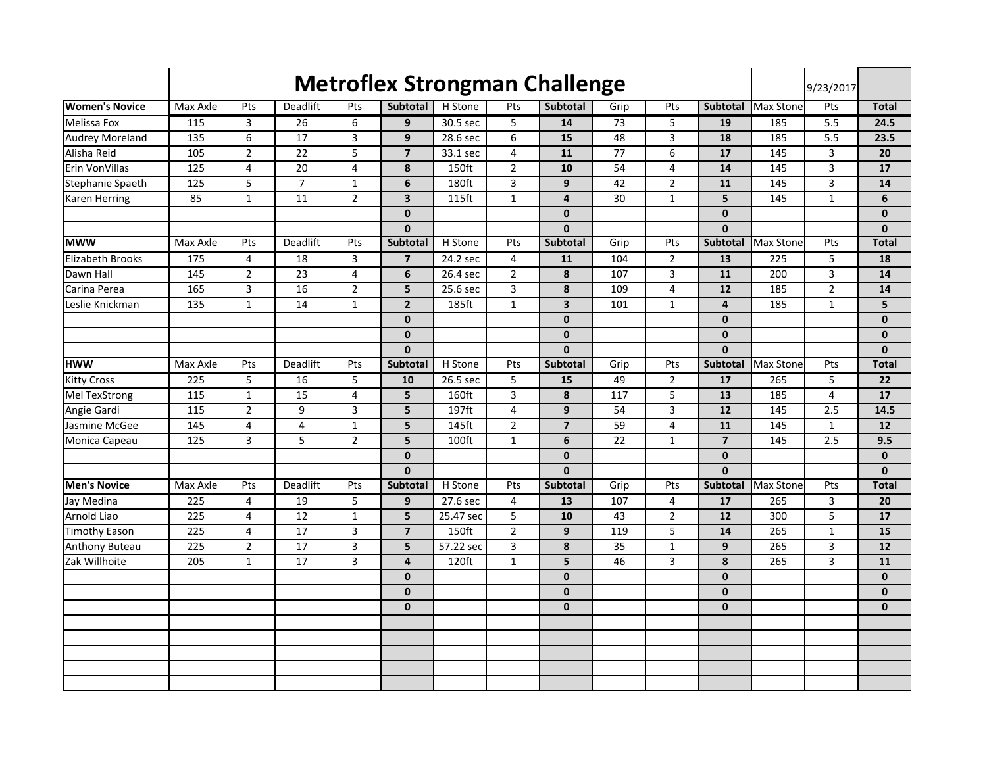|                         |                  |                |                |                |                         |                   |                | <b>Metroflex Strongman Challenge</b> |      |                |                         |                  | 9/23/2017        |                 |
|-------------------------|------------------|----------------|----------------|----------------|-------------------------|-------------------|----------------|--------------------------------------|------|----------------|-------------------------|------------------|------------------|-----------------|
| <b>Women's Novice</b>   | Max Axle         | Pts            | Deadlift       | Pts            | Subtotal                | H Stone           | Pts            | <b>Subtotal</b>                      | Grip | Pts            | <b>Subtotal</b>         | Max Stone        | Pts              | <b>Total</b>    |
| Melissa Fox             | 115              | 3              | 26             | 6              | 9                       | 30.5 sec          | 5              | 14                                   | 73   | 5              | 19                      | 185              | $\overline{5.5}$ | 24.5            |
| <b>Audrey Moreland</b>  | 135              | 6              | 17             | 3              | 9                       | 28.6 sec          | 6              | 15                                   | 48   | 3              | 18                      | 185              | 5.5              | 23.5            |
| Alisha Reid             | 105              | $\overline{2}$ | 22             | 5              | $\overline{7}$          | 33.1 sec          | $\overline{4}$ | 11                                   | 77   | 6              | 17                      | 145              | 3                | 20              |
| Erin VonVillas          | 125              | $\overline{4}$ | 20             | 4              | 8                       | 150ft             | $\overline{2}$ | 10                                   | 54   | 4              | 14                      | 145              | 3                | 17              |
| Stephanie Spaeth        | $\frac{125}{2}$  | 5              | $\overline{7}$ | $\mathbf{1}$   | $\boldsymbol{6}$        | 180ft             | 3              | $\boldsymbol{9}$                     | 42   | $\overline{2}$ | 11                      | 145              | 3                | 14              |
| Karen Herring           | 85               | $\mathbf 1$    | 11             | $\overline{2}$ | $\overline{\mathbf{3}}$ | 115ft             | $\mathbf{1}$   | $\overline{\mathbf{4}}$              | 30   | $\mathbf{1}$   | 5                       | 145              | $\mathbf{1}$     | 6               |
|                         |                  |                |                |                | $\mathbf{0}$            |                   |                | $\mathbf{0}$                         |      |                | $\mathbf{0}$            |                  |                  | 0               |
|                         |                  |                |                |                | $\mathbf{0}$            |                   |                | $\mathbf{0}$                         |      |                | $\mathbf{0}$            |                  |                  | $\mathbf{0}$    |
| <b>MWW</b>              | Max Axle         | Pts            | Deadlift       | Pts            | Subtotal                | H Stone           | Pts            | Subtotal                             | Grip | Pts            | Subtotal                | <b>Max Stone</b> | Pts              | <b>Total</b>    |
| <b>Elizabeth Brooks</b> | 175              | 4              | 18             | 3              | $\overline{7}$          | 24.2 sec          | 4              | 11                                   | 104  | 2              | 13                      | 225              | 5                | 18              |
| Dawn Hall               | 145              | $\overline{2}$ | 23             | $\overline{4}$ | 6                       | 26.4 sec          | $\overline{2}$ | 8                                    | 107  | 3              | $\overline{11}$         | 200              | 3                | 14              |
| Carina Perea            | 165              | $\overline{3}$ | 16             | $\overline{2}$ | 5                       | 25.6 sec          | $\overline{3}$ | 8                                    | 109  | 4              | 12                      | 185              | $\overline{2}$   | 14              |
| Leslie Knickman         | 135              | $\mathbf 1$    | 14             | $\mathbf{1}$   | $\overline{2}$          | 185ft             | $\mathbf{1}$   | $\overline{\mathbf{3}}$              | 101  | $\mathbf{1}$   | $\overline{4}$          | 185              | $\mathbf{1}$     | 5               |
|                         |                  |                |                |                | $\mathbf{0}$            |                   |                | $\mathbf{0}$                         |      |                | $\mathbf{0}$            |                  |                  | $\mathbf{0}$    |
|                         |                  |                |                |                | $\pmb{0}$               |                   |                | $\mathbf{0}$                         |      |                | $\mathbf{0}$            |                  |                  | $\mathbf{0}$    |
|                         |                  |                |                |                | $\mathbf{0}$            |                   |                | $\mathbf{0}$                         |      |                | $\mathbf{0}$            |                  |                  | $\mathbf{0}$    |
| <b>HWW</b>              | Max Axle         | Pts            | Deadlift       | Pts            | <b>Subtotal</b>         | H Stone           | Pts            | Subtotal                             | Grip | Pts            | Subtotal                | Max Stone        | Pts              | <b>Total</b>    |
| <b>Kitty Cross</b>      | 225              | 5              | 16             | 5              | 10                      | 26.5 sec          | 5              | 15                                   | 49   | $\overline{2}$ | 17                      | 265              | 5                | 22              |
| Mel TexStrong           | 115              | $\mathbf 1$    | 15             | $\overline{4}$ | 5                       | 160ft             | 3              | 8                                    | 117  | 5              | 13                      | 185              | $\overline{4}$   | 17              |
| Angie Gardi             | 115              | $\overline{2}$ | 9              | 3              | 5                       | 197 <sub>ft</sub> | 4              | 9                                    | 54   | 3              | 12                      | 145              | $\overline{2.5}$ | 14.5            |
| Jasmine McGee           | 145              | $\overline{4}$ | $\overline{4}$ | $\mathbf{1}$   | 5                       | 145ft             | $\overline{2}$ | $\overline{7}$                       | 59   | $\overline{4}$ | $\overline{11}$         | 145              | $\mathbf{1}$     | 12              |
| Monica Capeau           | 125              | 3              | 5              | $\overline{2}$ | 5                       | 100ft             | $\mathbf 1$    | 6                                    | 22   | $\mathbf{1}$   | $\overline{\mathbf{z}}$ | 145              | 2.5              | 9.5             |
|                         |                  |                |                |                | $\mathbf{0}$            |                   |                | $\mathbf{0}$                         |      |                | $\mathbf{0}$            |                  |                  | $\mathbf 0$     |
|                         |                  |                |                |                | $\mathbf{0}$            |                   |                | O                                    |      |                | $\mathbf{0}$            |                  |                  | $\mathbf{0}$    |
| <b>Men's Novice</b>     | Max Axle         | Pts            | Deadlift       | Pts            | Subtotal                | H Stone           | Pts            | <b>Subtotal</b>                      | Grip | Pts            | Subtotal                | <b>Max Stone</b> | Pts              | <b>Total</b>    |
| Jay Medina              | 225              | 4              | 19             | 5              | 9                       | 27.6 sec          | $\overline{4}$ | 13                                   | 107  | 4              | 17                      | 265              | 3                | 20              |
| Arnold Liao             | 225              | 4              | 12             | $\mathbf 1$    | 5                       | 25.47 sec         | 5              | 10                                   | 43   | $\overline{2}$ | $\overline{12}$         | 300              | 5                | $\overline{17}$ |
| <b>Timothy Eason</b>    | $\overline{225}$ | 4              | 17             | 3              | $\overline{\mathbf{z}}$ | 150ft             | $\overline{2}$ | 9                                    | 119  | 5              | 14                      | 265              | $\mathbf{1}$     | 15              |
| Anthony Buteau          | 225              | $\overline{2}$ | 17             | 3              | 5                       | 57.22 sec         | 3              | 8                                    | 35   | $\mathbf{1}$   | 9                       | 265              | 3                | 12              |
| Zak Willhoite           | 205              | $\mathbf{1}$   | 17             | 3              | $\overline{4}$          | 120ft             | $\mathbf{1}$   | 5                                    | 46   | 3              | 8                       | 265              | 3                | 11              |
|                         |                  |                |                |                | $\mathbf{0}$            |                   |                | $\mathbf{0}$                         |      |                | $\mathbf{0}$            |                  |                  | $\mathbf{0}$    |
|                         |                  |                |                |                | $\mathbf 0$             |                   |                | $\mathbf 0$                          |      |                | $\mathbf{0}$            |                  |                  | $\mathbf 0$     |
|                         |                  |                |                |                | $\mathbf{0}$            |                   |                | $\mathbf{0}$                         |      |                | $\mathbf{0}$            |                  |                  | $\mathbf{0}$    |
|                         |                  |                |                |                |                         |                   |                |                                      |      |                |                         |                  |                  |                 |
|                         |                  |                |                |                |                         |                   |                |                                      |      |                |                         |                  |                  |                 |
|                         |                  |                |                |                |                         |                   |                |                                      |      |                |                         |                  |                  |                 |
|                         |                  |                |                |                |                         |                   |                |                                      |      |                |                         |                  |                  |                 |
|                         |                  |                |                |                |                         |                   |                |                                      |      |                |                         |                  |                  |                 |